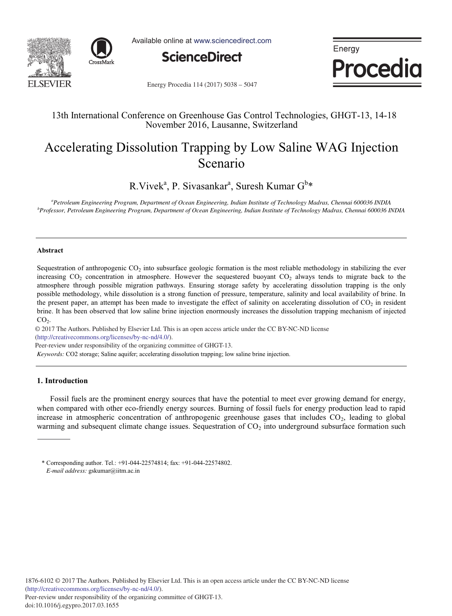



Available online at www.sciencedirect.com



Energy **Procedia** 

Energy Procedia 114 (2017) 5038 - 5047

# 13th International Conference on Greenhouse Gas Control Technologies, GHGT-13, 14-18 November 2016, Lausanne, Switzerland

# Accelerating Dissolution Trapping by Low Saline WAG Injection Scenario

R.Vivek<sup>a</sup>, P. Sivasankar<sup>a</sup>, Suresh Kumar G<sup>b</sup>\*

*a Petroleum Engineering Program, Department of Ocean Engineering, Indian Institute of Technology Madras, Chennai 600036 INDIA b Professor, Petroleum Engineering Program, Department of Ocean Engineering, Indian Institute of Technology Madras, Chennai 600036 INDIA*

#### **Abstract**

Sequestration of anthropogenic  $CO_2$  into subsurface geologic formation is the most reliable methodology in stabilizing the ever increasing  $CO<sub>2</sub>$  concentration in atmosphere. However the sequestered buoyant  $CO<sub>2</sub>$  always tends to migrate back to the atmosphere through possible migration pathways. Ensuring storage safety by accelerating dissolution trapping is the only possible methodology, while dissolution is a strong function of pressure, temperature, salinity and local availability of brine. In the present paper, an attempt has been made to investigate the effect of salinity on accelerating dissolution of  $CO<sub>2</sub>$  in resident brine. It has been observed that low saline brine injection enormously increases the dissolution trapping mechanism of injected  $CO<sub>2</sub>$ .

© 2017 The Authors. Published by Elsevier Ltd. © 2017 The Authors. Published by Elsevier Ltd. This is an open access article under the CC BY-NC-ND license (http://creativecommons.org/licenses/by-nc-nd/4.0/).

Peer-review under responsibility of the organizing committee of GHGT-13.

*Keywords:* CO2 storage; Saline aquifer; accelerating dissolution trapping; low saline brine injection.

# **1. Introduction**

Fossil fuels are the prominent energy sources that have the potential to meet ever growing demand for energy, when compared with other eco-friendly energy sources. Burning of fossil fuels for energy production lead to rapid increase in atmospheric concentration of anthropogenic greenhouse gases that includes  $CO<sub>2</sub>$ , leading to global warming and subsequent climate change issues. Sequestration of  $CO<sub>2</sub>$  into underground subsurface formation such

<sup>\*</sup> Corresponding author. Tel.: +91-044-22574814; fax: +91-044-22574802. *E-mail address:* gskumar@iitm.ac.in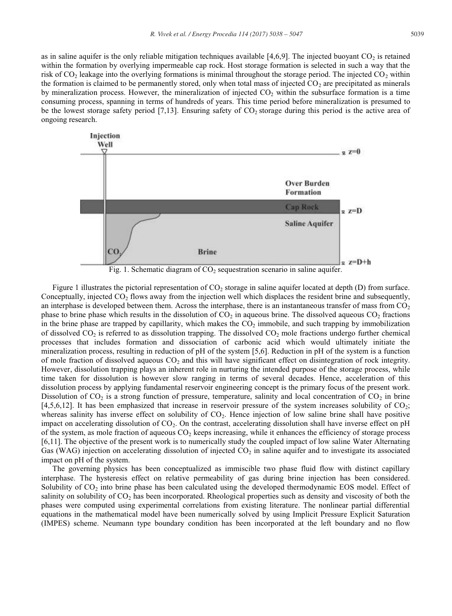as in saline aquifer is the only reliable mitigation techniques available  $[4,6,9]$ . The injected buoyant  $CO<sub>2</sub>$  is retained within the formation by overlying impermeable cap rock. Host storage formation is selected in such a way that the risk of  $CO<sub>2</sub>$  leakage into the overlying formations is minimal throughout the storage period. The injected  $CO<sub>2</sub>$  within the formation is claimed to be permanently stored, only when total mass of injected  $CO<sub>2</sub>$  are precipitated as minerals by mineralization process. However, the mineralization of injected  $CO<sub>2</sub>$  within the subsurface formation is a time consuming process, spanning in terms of hundreds of years. This time period before mineralization is presumed to be the lowest storage safety period [7,13]. Ensuring safety of  $CO<sub>2</sub>$  storage during this period is the active area of ongoing research.



Fig. 1. Schematic diagram of  $CO<sub>2</sub>$  sequestration scenario in saline aquifer.

Figure 1 illustrates the pictorial representation of  $CO<sub>2</sub>$  storage in saline aquifer located at depth  $(D)$  from surface. Conceptually, injected  $CO<sub>2</sub>$  flows away from the injection well which displaces the resident brine and subsequently, an interphase is developed between them. Across the interphase, there is an instantaneous transfer of mass from  $CO<sub>2</sub>$ phase to brine phase which results in the dissolution of  $CO<sub>2</sub>$  in aqueous brine. The dissolved aqueous  $CO<sub>2</sub>$  fractions in the brine phase are trapped by capillarity, which makes the  $CO<sub>2</sub>$  immobile, and such trapping by immobilization of dissolved  $CO_2$  is referred to as dissolution trapping. The dissolved  $CO_2$  mole fractions undergo further chemical processes that includes formation and dissociation of carbonic acid which would ultimately initiate the mineralization process, resulting in reduction of pH of the system [5,6]. Reduction in pH of the system is a function of mole fraction of dissolved aqueous  $CO<sub>2</sub>$  and this will have significant effect on disintegration of rock integrity. However, dissolution trapping plays an inherent role in nurturing the intended purpose of the storage process, while time taken for dissolution is however slow ranging in terms of several decades. Hence, acceleration of this dissolution process by applying fundamental reservoir engineering concept is the primary focus of the present work. Dissolution of  $CO_2$  is a strong function of pressure, temperature, salinity and local concentration of  $CO_2$  in brine [4,5,6,12]. It has been emphasized that increase in reservoir pressure of the system increases solubility of CO<sub>2</sub>; whereas salinity has inverse effect on solubility of  $CO<sub>2</sub>$ . Hence injection of low saline brine shall have positive impact on accelerating dissolution of  $CO<sub>2</sub>$ . On the contrast, accelerating dissolution shall have inverse effect on pH of the system, as mole fraction of aqueous  $CO<sub>2</sub>$  keeps increasing, while it enhances the efficiency of storage process [6,11]. The objective of the present work is to numerically study the coupled impact of low saline Water Alternating Gas (WAG) injection on accelerating dissolution of injected  $CO<sub>2</sub>$  in saline aquifer and to investigate its associated impact on pH of the system.

The governing physics has been conceptualized as immiscible two phase fluid flow with distinct capillary interphase. The hysteresis effect on relative permeability of gas during brine injection has been considered. Solubility of CO<sub>2</sub> into brine phase has been calculated using the developed thermodynamic EOS model. Effect of salinity on solubility of  $CO<sub>2</sub>$  has been incorporated. Rheological properties such as density and viscosity of both the phases were computed using experimental correlations from existing literature. The nonlinear partial differential equations in the mathematical model have been numerically solved by using Implicit Pressure Explicit Saturation (IMPES) scheme. Neumann type boundary condition has been incorporated at the left boundary and no flow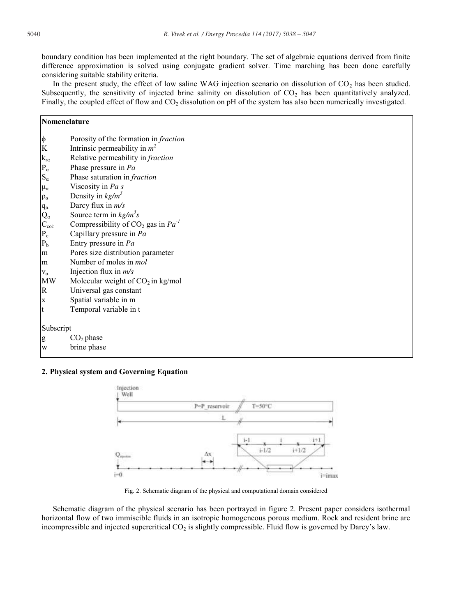boundary condition has been implemented at the right boundary. The set of algebraic equations derived from finite difference approximation is solved using conjugate gradient solver. Time marching has been done carefully considering suitable stability criteria.

In the present study, the effect of low saline WAG injection scenario on dissolution of CO<sub>2</sub> has been studied. Subsequently, the sensitivity of injected brine salinity on dissolution of  $CO<sub>2</sub>$  has been quantitatively analyzed. Finally, the coupled effect of flow and  $CO<sub>2</sub>$  dissolution on pH of the system has also been numerically investigated.

| Nomenclature                    |                                                     |  |
|---------------------------------|-----------------------------------------------------|--|
| φ                               | Porosity of the formation in fraction               |  |
| $\bf K$                         | Intrinsic permeability in $m^2$                     |  |
| $k_{r\alpha}$                   | Relative permeability in fraction                   |  |
| $P_\alpha$                      | Phase pressure in Pa                                |  |
| $S_\alpha$                      | Phase saturation in fraction                        |  |
| $\mu_\alpha$                    | Viscosity in Pa s                                   |  |
| $\rho_\alpha$                   | Density in $kg/m^3$                                 |  |
| $q_\alpha$                      | Darcy flux in m/s                                   |  |
|                                 | Source term in $kg/m^3s$                            |  |
| $Q_{\alpha}$<br>$C_{\alpha o2}$ | Compressibility of CO <sub>2</sub> gas in $Pa^{-1}$ |  |
| $\mathbf{P}_{\rm c}$            | Capillary pressure in Pa                            |  |
| $\mathbf{P}_{\rm b}$            | Entry pressure in Pa                                |  |
| m                               | Pores size distribution parameter                   |  |
| m                               | Number of moles in mol                              |  |
| $V_{\alpha}$                    | Injection flux in $m/s$                             |  |
| $\ensuremath{\text{MW}}\xspace$ | Molecular weight of $CO2$ in kg/mol                 |  |
| $\mathbb R$                     | Universal gas constant                              |  |
| $\mathbf x$                     | Spatial variable in m                               |  |
| t                               | Temporal variable in t                              |  |
| Subscript                       |                                                     |  |
| g                               | CO <sub>2</sub> phase                               |  |
| W                               | brine phase                                         |  |

# **2. Physical system and Governing Equation**



Fig. 2. Schematic diagram of the physical and computational domain considered

Schematic diagram of the physical scenario has been portrayed in figure 2. Present paper considers isothermal horizontal flow of two immiscible fluids in an isotropic homogeneous porous medium. Rock and resident brine are incompressible and injected supercritical CO<sub>2</sub> is slightly compressible. Fluid flow is governed by Darcy's law.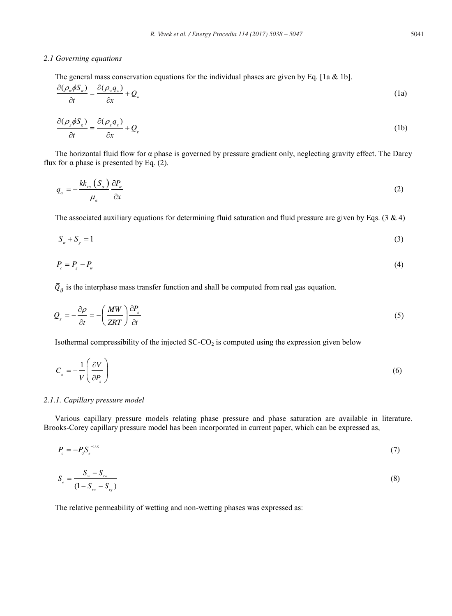### *2.1 Governing equations*

The general mass conservation equations for the individual phases are given by Eq. [1a & 1b].

$$
\frac{\partial(\rho_w \phi S_w)}{\partial t} = \frac{\partial(\rho_w q_w)}{\partial x} + Q_w \tag{1a}
$$

$$
\frac{\partial(\rho_s \phi S_s)}{\partial t} = \frac{\partial(\rho_s q_s)}{\partial x} + Q_s \tag{1b}
$$

The horizontal fluid flow for  $\alpha$  phase is governed by pressure gradient only, neglecting gravity effect. The Darcy flux for  $\alpha$  phase is presented by Eq. (2).

$$
q_{\alpha} = -\frac{kk_{r\alpha} \left(S_{\alpha}\right)}{\mu_{\alpha}} \frac{\partial P_{\alpha}}{\partial x} \tag{2}
$$

The associated auxiliary equations for determining fluid saturation and fluid pressure are given by Eqs. (3  $\&$  4)

$$
S_w + S_g = 1 \tag{3}
$$

$$
P_c = P_s - P_w \tag{4}
$$

 $\overline{Q}_q$  is the interphase mass transfer function and shall be computed from real gas equation.

$$
\overline{Q}_s = -\frac{\partial \rho}{\partial t} = -\left(\frac{MW}{ZRT}\right)\frac{\partial P_s}{\partial t}
$$
\n(5)

Isothermal compressibility of the injected  $SC-CO<sub>2</sub>$  is computed using the expression given below

$$
C_s = -\frac{1}{V} \left( \frac{\partial V}{\partial P_s} \right) \tag{6}
$$

#### *2.1.1. Capillary pressure model*

Various capillary pressure models relating phase pressure and phase saturation are available in literature. Brooks-Corey capillary pressure model has been incorporated in current paper, which can be expressed as,

$$
P_c = -P_0 S_c^{-1/2} \tag{7}
$$

$$
S_e = \frac{S_w - S_{\scriptscriptstyle{rw}}}{(1 - S_{\scriptscriptstyle{rw}} - S_{\scriptscriptstyle{rs}})}
$$
\n(8)

The relative permeability of wetting and non-wetting phases was expressed as: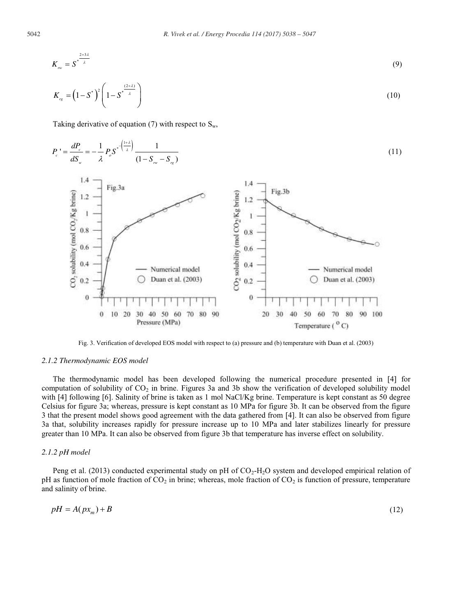$$
K_{r_{\alpha}} = S^{*\frac{2+3\lambda}{\lambda}}
$$
\n
$$
K_{r_{\alpha}} = (1 - S^*)^2 \left(1 - S^{*\frac{(2+\lambda)}{\lambda}}\right)
$$
\n(10)

Taking derivative of equation (7) with respect to  $S_w$ ,



Fig. 3. Verification of developed EOS model with respect to (a) pressure and (b) temperature with Duan et al. (2003)

#### *2.1.2 Thermodynamic EOS model*

The thermodynamic model has been developed following the numerical procedure presented in [4] for computation of solubility of  $CO<sub>2</sub>$  in brine. Figures 3a and 3b show the verification of developed solubility model with [4] following [6]. Salinity of brine is taken as 1 mol NaCl/Kg brine. Temperature is kept constant as 50 degree Celsius for figure 3a; whereas, pressure is kept constant as 10 MPa for figure 3b. It can be observed from the figure 3 that the present model shows good agreement with the data gathered from [4]. It can also be observed from figure 3a that, solubility increases rapidly for pressure increase up to 10 MPa and later stabilizes linearly for pressure greater than 10 MPa. It can also be observed from figure 3b that temperature has inverse effect on solubility.

# *2.1.2 pH model*

Peng et al. (2013) conducted experimental study on pH of  $CO<sub>2</sub>-H<sub>2</sub>O$  system and developed empirical relation of pH as function of mole fraction of  $CO<sub>2</sub>$  in brine; whereas, mole fraction of  $CO<sub>2</sub>$  is function of pressure, temperature and salinity of brine.

$$
pH = A(px_m) + B \tag{12}
$$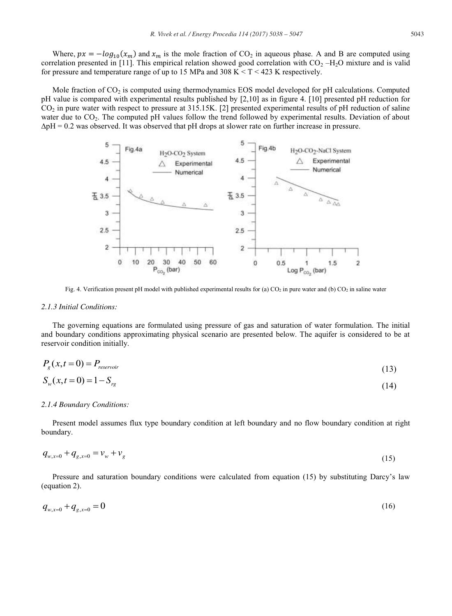Where,  $px = -\log_{10}(x_m)$  and  $x_m$  is the mole fraction of CO<sub>2</sub> in aqueous phase. A and B are computed using correlation presented in [11]. This empirical relation showed good correlation with  $CO<sub>2</sub> - H<sub>2</sub>O$  mixture and is valid for pressure and temperature range of up to 15 MPa and 308 K  $\leq T \leq 423$  K respectively.

Mole fraction of  $CO<sub>2</sub>$  is computed using thermodynamics EOS model developed for pH calculations. Computed pH value is compared with experimental results published by [2,10] as in figure 4. [10] presented pH reduction for  $CO<sub>2</sub>$  in pure water with respect to pressure at 315.15K. [2] presented experimental results of pH reduction of saline water due to  $CO<sub>2</sub>$ . The computed pH values follow the trend followed by experimental results. Deviation of about  $\Delta$ pH = 0.2 was observed. It was observed that pH drops at slower rate on further increase in pressure.



Fig. 4. Verification present pH model with published experimental results for (a)  $CO<sub>2</sub>$  in pure water and (b)  $CO<sub>2</sub>$  in saline water

#### *2.1.3 Initial Conditions:*

The governing equations are formulated using pressure of gas and saturation of water formulation. The initial and boundary conditions approximating physical scenario are presented below. The aquifer is considered to be at reservoir condition initially.

$$
P_g(x,t=0) = P_{\text{reservoir}}
$$
\n<sup>(13)</sup>

$$
S_w(x, t = 0) = 1 - S_{rg}
$$
\n(14)

#### *2.1.4 Boundary Conditions:*

Present model assumes flux type boundary condition at left boundary and no flow boundary condition at right boundary.

$$
q_{w,x=0} + q_{g,x=0} = v_w + v_g \tag{15}
$$

Pressure and saturation boundary conditions were calculated from equation (15) by substituting Darcy's law (equation 2).

$$
q_{w,x=0} + q_{g,x=0} = 0 \tag{16}
$$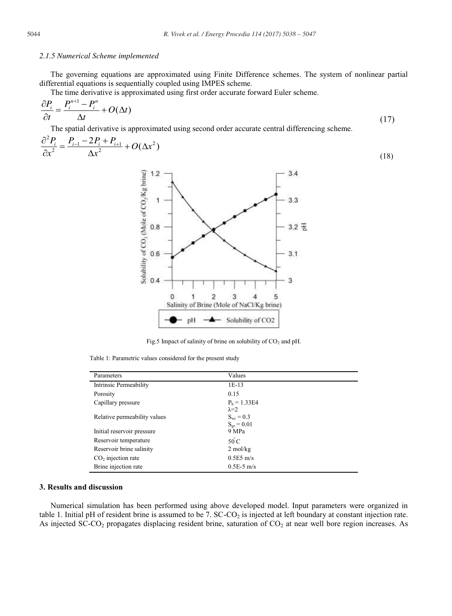### *2.1.5 Numerical Scheme implemented*

The governing equations are approximated using Finite Difference schemes. The system of nonlinear partial differential equations is sequentially coupled using IMPES scheme.

The time derivative is approximated using first order accurate forward Euler scheme.

$$
\frac{\partial P_i}{\partial t} = \frac{P_i^{n+1} - P_i^n}{\Delta t} + O(\Delta t) \tag{17}
$$

The spatial derivative is approximated using second order accurate central differencing scheme.

$$
\frac{\partial^2 P_i}{\partial x^2} = \frac{P_{i-1} - 2P_i + P_{i+1}}{\Delta x^2} + O(\Delta x^2)
$$
\n(18)



Fig.5 Impact of salinity of brine on solubility of  $CO<sub>2</sub>$  and pH.

Table 1: Parametric values considered for the present study

| Parameters                   | Values                                                      |
|------------------------------|-------------------------------------------------------------|
| Intrinsic Permeability       | $1E-13$                                                     |
| Porosity                     | 0.15                                                        |
| Capillary pressure           | $P_b = 1.33E4$                                              |
| Relative permeability values | $\lambda = 2$<br>$S_{\rm{wr}} = 0.3$<br>$S_{\rm or} = 0.01$ |
| Initial reservoir pressure   | 9 MPa                                                       |
| Reservoir temperature        | $50^{\circ}$ C                                              |
| Reservoir brine salinity     | $2 \text{ mol/kg}$                                          |
| $CO2$ injection rate         | $0.5E5$ m/s                                                 |
| Brine injection rate         | $0.5E-5$ m/s                                                |

# **3. Results and discussion**

Numerical simulation has been performed using above developed model. Input parameters were organized in table 1. Initial pH of resident brine is assumed to be 7.  $SC-CO<sub>2</sub>$  is injected at left boundary at constant injection rate. As injected SC-CO<sub>2</sub> propagates displacing resident brine, saturation of CO<sub>2</sub> at near well bore region increases. As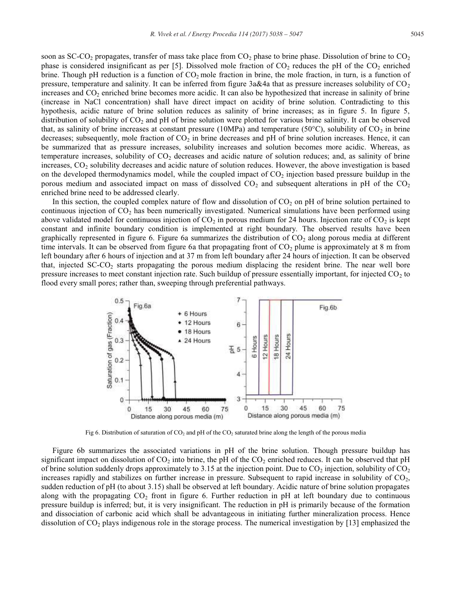soon as SC-CO<sub>2</sub> propagates, transfer of mass take place from  $CO_2$  phase to brine phase. Dissolution of brine to  $CO_2$ phase is considered insignificant as per [5]. Dissolved mole fraction of  $CO<sub>2</sub>$  reduces the pH of the  $CO<sub>2</sub>$  enriched brine. Though pH reduction is a function of  $CO<sub>2</sub>$  mole fraction in brine, the mole fraction, in turn, is a function of pressure, temperature and salinity. It can be inferred from figure  $3a\&4a$  that as pressure increases solubility of CO<sub>2</sub> increases and CO<sub>2</sub> enriched brine becomes more acidic. It can also be hypothesized that increase in salinity of brine (increase in NaCl concentration) shall have direct impact on acidity of brine solution. Contradicting to this hypothesis, acidic nature of brine solution reduces as salinity of brine increases; as in figure 5. In figure 5, distribution of solubility of  $CO<sub>2</sub>$  and pH of brine solution were plotted for various brine salinity. It can be observed that, as salinity of brine increases at constant pressure (10MPa) and temperature (50 $^{\circ}$ C), solubility of CO<sub>2</sub> in brine decreases; subsequently, mole fraction of  $CO<sub>2</sub>$  in brine decreases and pH of brine solution increases. Hence, it can be summarized that as pressure increases, solubility increases and solution becomes more acidic. Whereas, as temperature increases, solubility of  $CO<sub>2</sub>$  decreases and acidic nature of solution reduces; and, as salinity of brine increases,  $CO<sub>2</sub>$  solubility decreases and acidic nature of solution reduces. However, the above investigation is based on the developed thermodynamics model, while the coupled impact of  $CO<sub>2</sub>$  injection based pressure buildup in the porous medium and associated impact on mass of dissolved  $CO<sub>2</sub>$  and subsequent alterations in pH of the  $CO<sub>2</sub>$ enriched brine need to be addressed clearly.

In this section, the coupled complex nature of flow and dissolution of  $CO<sub>2</sub>$  on pH of brine solution pertained to continuous injection of  $CO<sub>2</sub>$  has been numerically investigated. Numerical simulations have been performed using above validated model for continuous injection of  $CO_2$  in porous medium for 24 hours. Injection rate of  $CO_2$  is kept constant and infinite boundary condition is implemented at right boundary. The observed results have been graphically represented in figure 6. Figure 6a summarizes the distribution of  $CO<sub>2</sub>$  along porous media at different time intervals. It can be observed from figure 6a that propagating front of  $CO<sub>2</sub>$  plume is approximately at 8 m from left boundary after 6 hours of injection and at 37 m from left boundary after 24 hours of injection. It can be observed that, injected  $SC-CO<sub>2</sub>$  starts propagating the porous medium displacing the resident brine. The near well bore pressure increases to meet constant injection rate. Such buildup of pressure essentially important, for injected  $CO<sub>2</sub>$  to flood every small pores; rather than, sweeping through preferential pathways.



Fig 6. Distribution of saturation of  $CO_2$  and pH of the  $CO_2$  saturated brine along the length of the porous media

Figure 6b summarizes the associated variations in pH of the brine solution. Though pressure buildup has significant impact on dissolution of  $CO_2$  into brine, the pH of the  $CO_2$  enriched reduces. It can be observed that pH of brine solution suddenly drops approximately to 3.15 at the injection point. Due to  $CO_2$  injection, solubility of  $CO_2$ increases rapidly and stabilizes on further increase in pressure. Subsequent to rapid increase in solubility of  $CO<sub>2</sub>$ , sudden reduction of pH (to about 3.15) shall be observed at left boundary. Acidic nature of brine solution propagates along with the propagating  $CO_2$  front in figure 6. Further reduction in pH at left boundary due to continuous pressure buildup is inferred; but, it is very insignificant. The reduction in pH is primarily because of the formation and dissociation of carbonic acid which shall be advantageous in initiating further mineralization process. Hence dissolution of  $CO<sub>2</sub>$  plays indigenous role in the storage process. The numerical investigation by [13] emphasized the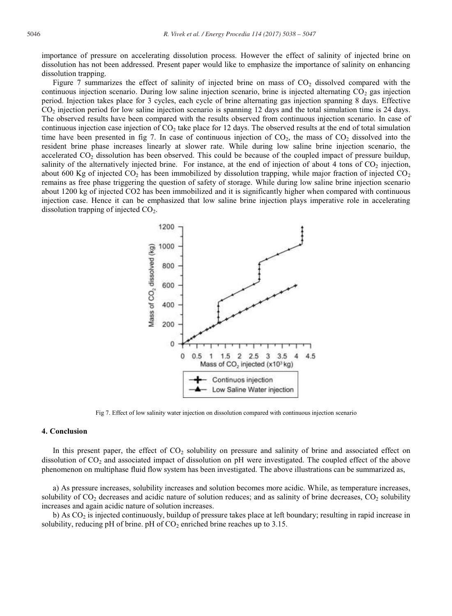importance of pressure on accelerating dissolution process. However the effect of salinity of injected brine on dissolution has not been addressed. Present paper would like to emphasize the importance of salinity on enhancing dissolution trapping.

Figure 7 summarizes the effect of salinity of injected brine on mass of  $CO<sub>2</sub>$  dissolved compared with the continuous injection scenario. During low saline injection scenario, brine is injected alternating  $CO<sub>2</sub>$  gas injection period. Injection takes place for 3 cycles, each cycle of brine alternating gas injection spanning 8 days. Effective CO2 injection period for low saline injection scenario is spanning 12 days and the total simulation time is 24 days. The observed results have been compared with the results observed from continuous injection scenario. In case of continuous injection case injection of  $CO<sub>2</sub>$  take place for 12 days. The observed results at the end of total simulation time have been presented in fig 7. In case of continuous injection of  $CO<sub>2</sub>$ , the mass of  $CO<sub>2</sub>$  dissolved into the resident brine phase increases linearly at slower rate. While during low saline brine injection scenario, the accelerated CO2 dissolution has been observed. This could be because of the coupled impact of pressure buildup, salinity of the alternatively injected brine. For instance, at the end of injection of about 4 tons of  $CO<sub>2</sub>$  injection, about 600 Kg of injected  $CO<sub>2</sub>$  has been immobilized by dissolution trapping, while major fraction of injected  $CO<sub>2</sub>$ remains as free phase triggering the question of safety of storage. While during low saline brine injection scenario about 1200 kg of injected CO2 has been immobilized and it is significantly higher when compared with continuous injection case. Hence it can be emphasized that low saline brine injection plays imperative role in accelerating dissolution trapping of injected  $CO<sub>2</sub>$ .



Fig 7. Effect of low salinity water injection on dissolution compared with continuous injection scenario

# **4. Conclusion**

In this present paper, the effect of  $CO<sub>2</sub>$  solubility on pressure and salinity of brine and associated effect on dissolution of CO<sub>2</sub> and associated impact of dissolution on pH were investigated. The coupled effect of the above phenomenon on multiphase fluid flow system has been investigated. The above illustrations can be summarized as,

a) As pressure increases, solubility increases and solution becomes more acidic. While, as temperature increases, solubility of  $CO<sub>2</sub>$  decreases and acidic nature of solution reduces; and as salinity of brine decreases,  $CO<sub>2</sub>$  solubility increases and again acidic nature of solution increases.

b) As  $CO<sub>2</sub>$  is injected continuously, buildup of pressure takes place at left boundary; resulting in rapid increase in solubility, reducing pH of brine. pH of  $CO<sub>2</sub>$  enriched brine reaches up to 3.15.